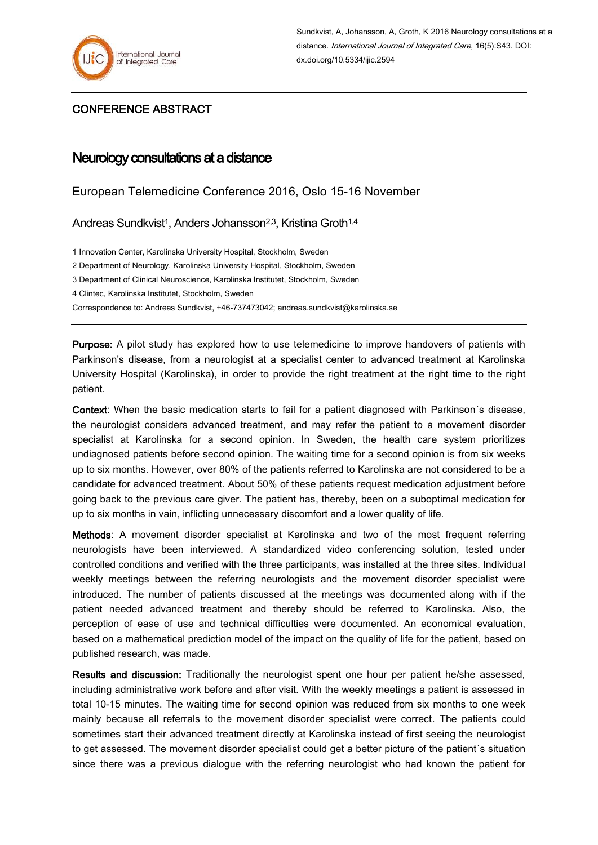

## CONFERENCE ABSTRACT

## Neurology consultations at a distance

European Telemedicine Conference 2016, Oslo 15-16 November

Andreas Sundkvist<sup>1</sup>, Anders Johansson<sup>2,3</sup>, Kristina Groth<sup>1,4</sup>

1 Innovation Center, Karolinska University Hospital, Stockholm, Sweden

2 Department of Neurology, Karolinska University Hospital, Stockholm, Sweden

3 Department of Clinical Neuroscience, Karolinska Institutet, Stockholm, Sweden

4 Clintec, Karolinska Institutet, Stockholm, Sweden

Correspondence to: Andreas Sundkvist, +46-737473042; andreas.sundkvist@karolinska.se

Purpose: A pilot study has explored how to use telemedicine to improve handovers of patients with Parkinson's disease, from a neurologist at a specialist center to advanced treatment at Karolinska University Hospital (Karolinska), in order to provide the right treatment at the right time to the right patient.

Context: When the basic medication starts to fail for a patient diagnosed with Parkinson´s disease, the neurologist considers advanced treatment, and may refer the patient to a movement disorder specialist at Karolinska for a second opinion. In Sweden, the health care system prioritizes undiagnosed patients before second opinion. The waiting time for a second opinion is from six weeks up to six months. However, over 80% of the patients referred to Karolinska are not considered to be a candidate for advanced treatment. About 50% of these patients request medication adjustment before going back to the previous care giver. The patient has, thereby, been on a suboptimal medication for up to six months in vain, inflicting unnecessary discomfort and a lower quality of life.

Methods: A movement disorder specialist at Karolinska and two of the most frequent referring neurologists have been interviewed. A standardized video conferencing solution, tested under controlled conditions and verified with the three participants, was installed at the three sites. Individual weekly meetings between the referring neurologists and the movement disorder specialist were introduced. The number of patients discussed at the meetings was documented along with if the patient needed advanced treatment and thereby should be referred to Karolinska. Also, the perception of ease of use and technical difficulties were documented. An economical evaluation, based on a mathematical prediction model of the impact on the quality of life for the patient, based on published research, was made.

Results and discussion: Traditionally the neurologist spent one hour per patient he/she assessed, including administrative work before and after visit. With the weekly meetings a patient is assessed in total 10-15 minutes. The waiting time for second opinion was reduced from six months to one week mainly because all referrals to the movement disorder specialist were correct. The patients could sometimes start their advanced treatment directly at Karolinska instead of first seeing the neurologist to get assessed. The movement disorder specialist could get a better picture of the patient´s situation since there was a previous dialogue with the referring neurologist who had known the patient for